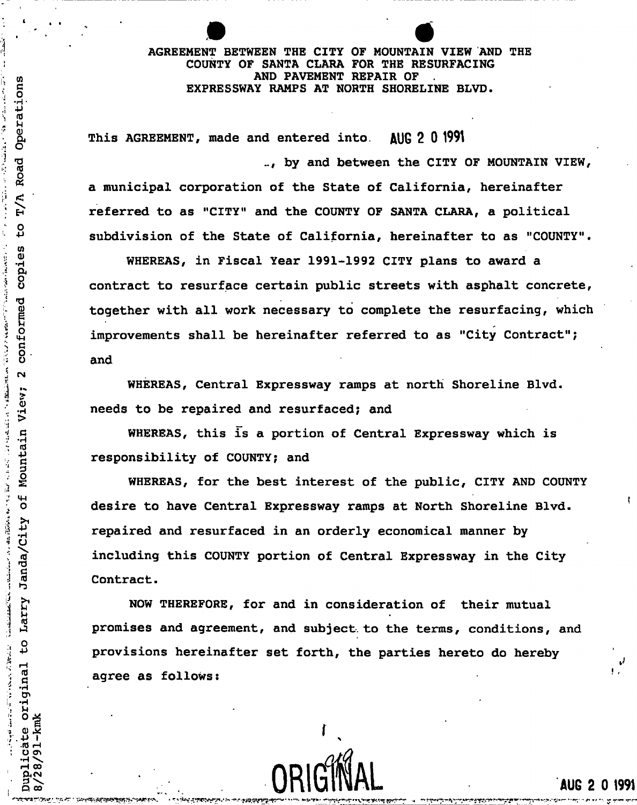## AGREEMENT BETWEEN THE CITY OF MOUNTAIN VIEW AND THE COUNTY OF SANTA CLARA FOR THE RESURFACING AND PAVEMENT REPAIR OF g EXPRESSWAY RAMPS AT NORTH SHORELINE BLVD.

This AGREEMENT, made and entered into. AUG 2 0 1991

.. by and between the CITY OF MOUNTAIN VIEW, a municipal corporation of the State of California, hereinafter Fia is referred to as "CITY" and the COUNTY OF SANTA CLARA, a political<br>Quality cubdivision of the State of California, bereinafter to as "COUNT  $\omega$  subdivision of the State of California, hereinafter to as  $\omega$  CoUNTY.

contract to resurface certain public streets with asphalt concrete, WHEREAS, in Fiscal Year 1991-1992 CITY plans to award a *o .* . and together with all work necessary to complete the resurfacing, which improvements shall be hereinafter referred to as "City Contract";

> WHEREAS, Central Expressway ramps at north Shoreline Blvd. needs to be repaired and resurfaced; and

WHEREAS, this is a portion of Central Expressway which is  $\frac{1}{2}$ 

£ WHEREAS, for the best interest of the public, CITY AND COUNTY desire to have Central Expressway ramps at North Shoreline Blvd. o desire to have Central Expressway ramps at North Shoreline Blvd. repaired and resurfaced in an orderly economical manner by including this COUNTY portion of Central Expressway in the City Contract.

> NOW THEREFORE, for and in consideration of their mutual promises and agreement, and subject to the terms, conditions, and provisions hereinafter set forth, the parties hereto do hereby agree as follows:

 $f_{\rm eff}$  , and the set of the set of the set of the set of the set of the set of the set of the set of the set of the set of the set of the set of the set of the set of the set of the set of the set of the set of the set

 $U$ li $U$ uni $U$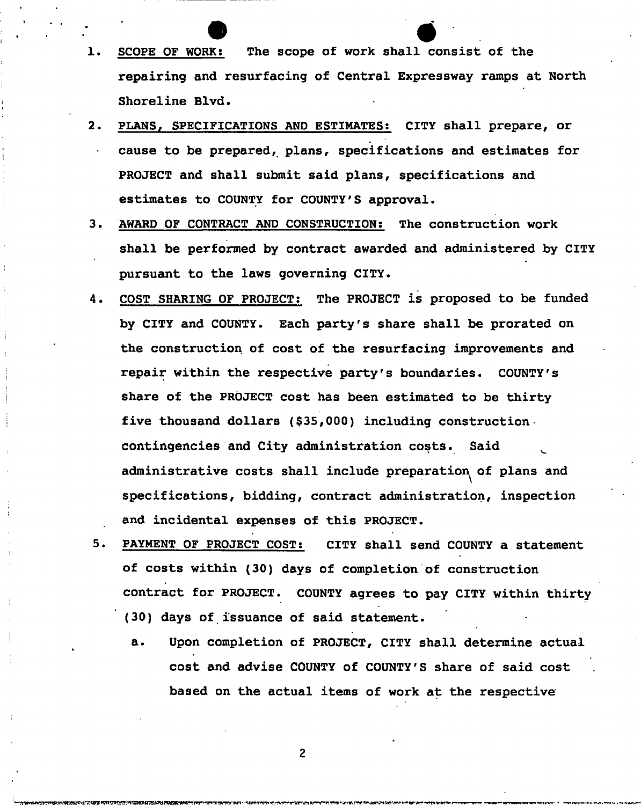- 1. SCOPE OF WORK: The scope of work shall consist of the repairing and resurfacing of Central Expressway ramps at North Shoreline Blvd.
- 2. PLANS, SPECIFICATIONS AND ESTIMATES: CITY shall prepare, or cause to be prepared, plans, specifications and estimates for PROJECT and shall submit said plans, specifications and estimates to COUNTY for COUNTY'S approval.
- 3. AWARD OF CONTRACT AND CONSTRUCTION: The construction work shall be performed by contract awarded and administered by CITY pursuant to the laws governing CITY.
- 4. COST SHARING OF PROJECT: The PROJECT is proposed to be funded by CITY and COUNTY. Each party's share shall be prorated on the construction of cost of the resurfacing improvements and repair within the respective party's boundaries. COUNTY'S share of the PROJECT cost has been estimated to be thirty five thousand dollars (\$35,000) including construction. contingencies and City administration costs. Said ^ administrative costs shall include preparation of plans and specifications, bidding, contract administration, inspection and incidental expenses of this PROJECT.
- 5. PAYMENT OF PROJECT COST: CITY shall send COUNTY a statement of costs within (30) days of completion of construction contract for PROJECT. COUNTY agrees to pay CITY within thirty (30) days of issuance of said statement.
	- a. Upon completion of PROJECT, CITY shall determine actual cost and advise COUNTY of COUNTY'S share of said cost based on the actual items of work at the respective

 $\overline{c}$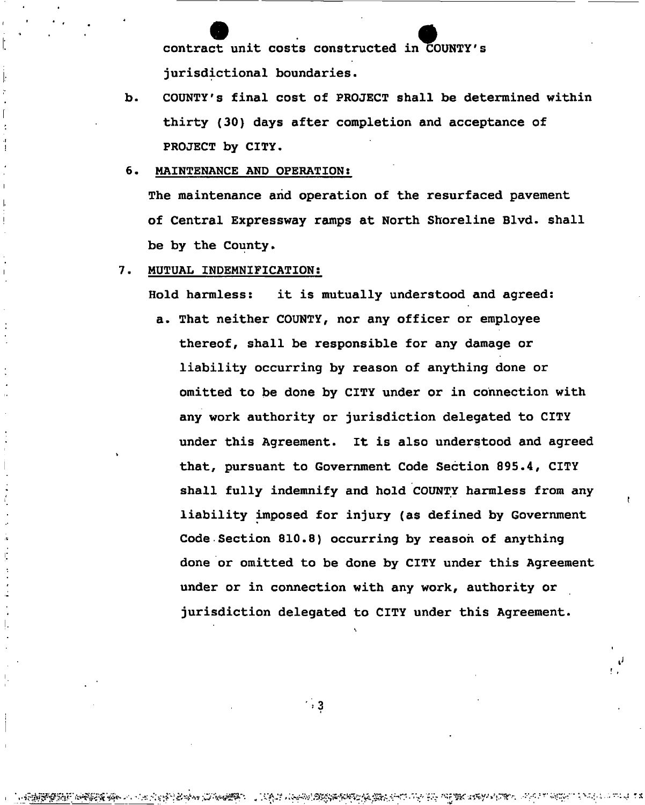contract unit costs constructed in COUNTY'S jurisdictional boundaries.

**.** COUNTY'S final cost of PROJECT shall be determined within thirty (30) days after completion and acceptance of PROJECT by CITY,

#### MAINTENANCE AND OPERATION; 6.

The maintenance and operation of the resurfaced pavement of Central Expressway ramps at North Shoreline Blvd. shall be by the County.

#### MUTUAL INDEMNIFICATION: 7.

Hold harmless: it is mutually understood and agreed:

a. That neither COUNTY, nor any officer or employee thereof, shall be responsible for any damage or liability occurring by reason of anything done or omitted to be done by CITY under or in connection with any work authority or jurisdiction delegated to CITY under this Agreement. It is also understood and agreed that, pursuant to Government Code Section 895.4, CITY shall fully indemnify and hold COUNTY harmless from any liability imposed for injury (as defined by Government Code Section 810.8) occurring by reason of anything done or omitted to be done by CITY under this Agreement under or in connection with any work, authority or jurisdiction delegated to CITY under this Agreement.

 $\cdot$  . 3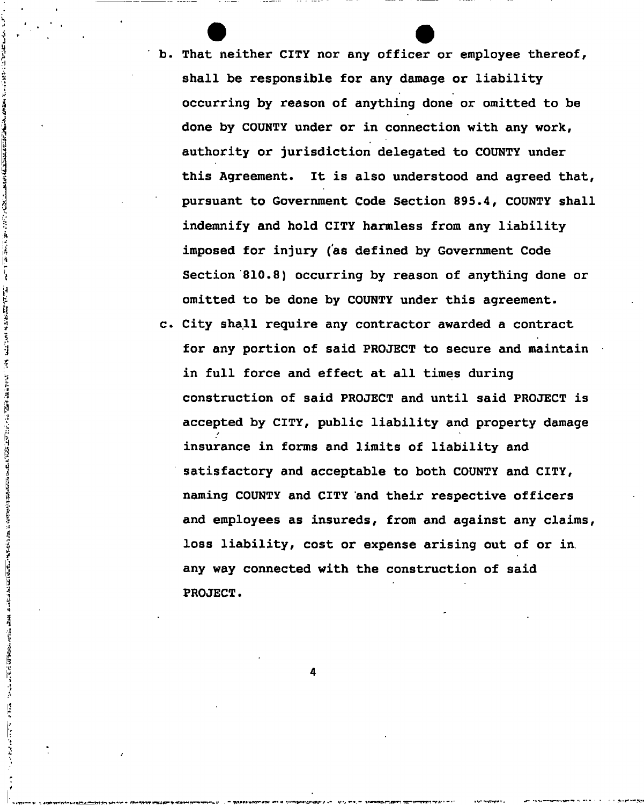- b. That neither CITY nor any officer or employee thereof, shall be responsible for any damage or liability occurring by reason of anything done or omitted to be done by COUNTY under or in connection with any work, authority or jurisdiction delegated to COUNTY under this Agreement. It is also understood and agreed that, pursuant to Government Code Section 895.4, COUNTY shall indemnify and hold CITY harmless from any liability imposed for injury (as defined by Government Code Section 810.8) occurring by reason of anything done or omitted to be done by COUNTY under this agreement.
- City shall require any contractor awarded a contract for any portion of said PROJECT to secure and maintain in full force and effect at all times during construction of said PROJECT and until said PROJECT is accepted by CITY, public liability and property damage */*  insurance in forms and limits of liability and satisfactory and acceptable to both COUNTY and CITY, naming COUNTY and CITY and their respective officers and employees as insureds, from and against any claims, loss liability, cost or expense arising out of or in. any way connected with the construction of said PROJECT.

**4** 

医慢性脑内膜性脑内膜炎 医中心 医神经病 医二氯二氯 计可选择 医神经 医心理 医心理 医血管神经的 计可归模的 的复数计算术的复数形式 医前庭性 医神经性脑炎 医神经性脑炎 医神经病 医阿拉伯氏病

 $\frac{1}{2}$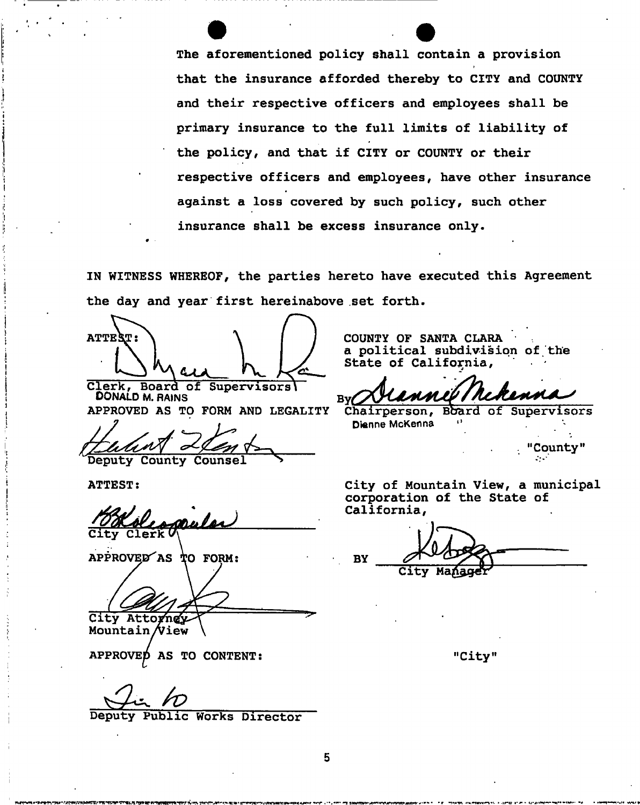The aforementioned policy shall contain a provision that the insurance afforded thereby to CITY and COUNTY and their respective officers and employees shall be primary insurance to the full limits of liability of the policy, and that if CITY or COUNTY or their respective officers and employees, have other insurance against a loss covered by such policy, such other insurance shall be excess insurance only.

IN WITNESS WHEREOF, the parties hereto have executed this Agreement the day and year first hereinabove set forth.

ATTEST:

Clerk, Board of Supervisors\ DONALD M. RAINS  $\mathbf{By}$ APPROVED AS TO FORM AND LEGALITY Chairperson, Bbard of Supervisors

Deputy County Counsel

ATTEST:

City Clerk Quela

 $AP\dot{P}ROVED$  AS TO FORM:

City Attorney

Mountain **/View** 

APPROVED AS TO CONTENT:

 $\boldsymbol{r}$ 

Public Works Director

COUNTY OF SANTA CLARA a political subdivision of the State of California,

Dienne McKenna

City of Mountain View, a municipal corporation of the State of California,

"County"

**BY** 

"City"

- • r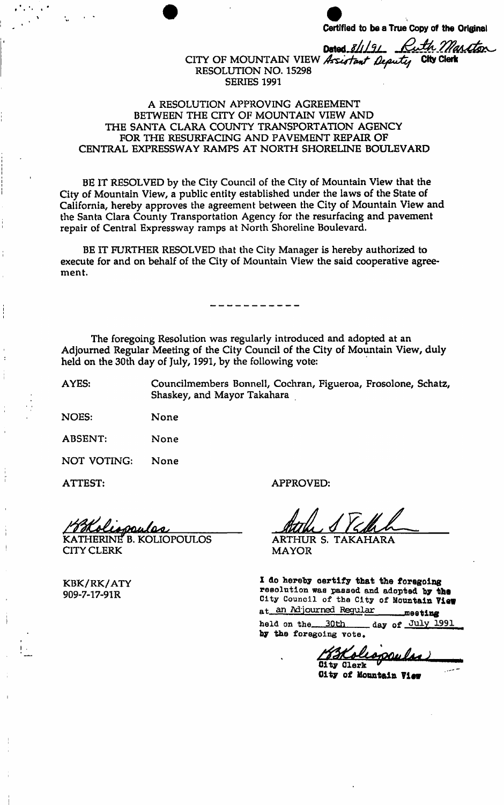**Certified to be a True Copy of the Original** 

th Martton Dated\_8/1/9/ CITY OF MOUNTAIN VIEW Assistant Deputy City Clerk

# RESOLUTION NO. 15298 ^ SERIES 1991

## A RESOLUTION APPROVING AGREEMENT BETWEEN THE CITY OF MOUNTAIN VIEW AND THE SANTA CLARA COUNTY TRANSPORTATION AGENCY FOR THE RESURFACING AND PAVEMENT REPAIR OF CENTRAL EXPRESSWAY RAMPS AT NORTH SHORELINE BOULEVARD

BE IT RESOLVED by the City Council of the City of Mountain View that the City of Mountain View, a public entity established under the laws of the State of California, hereby approves the agreement between the City of Mountain View and the Santa Clara County Transportation Agency for the resurfacing and pavement repair of Central Expressway ramps at North Shoreline Boulevard.

BE IT FURTHER RESOLVED that the City Manager is hereby authorized to execute for and on behalf of the City of Mountain View the said cooperative agreement.

The foregoing Resolution was regularly introduced and adopted at an Adjourned Regular Meeting of the City Council of the City of Mountain View, duly held on the 30th day of July, 1991, by the following vote:

Shaskey, and Mayor Takahara

AYES: Councilmembers Bonnell, Cochran, Figueroa, Frosolone, Schatz, Shaskey, and Mayor Takahara

**NOES:** None

**ABSENT:** None

NOT VOTING: None

ATTEST:

ssulss

KATHERINtf B. KOLIOPOULOS CITY CLERK

KBK/RK/ATY

**APPROVED:** 

And JEhl

MAYOR

I do hereby certify that the foregoing qftn 7.1, *y*<sup>21</sup> and *y* the *Postution was passed and adopted by the y y*<sup>*l*</sup> *City Council of the City of Mountain View <i>Cltr Cuncil of the City of Mountain View* 

**a n Adjourne d Regula r**  meeting

held on the 30th day of July 1991 by the foregoing vote.

<u> Tökoli</u> City Clerk

City of Mountain View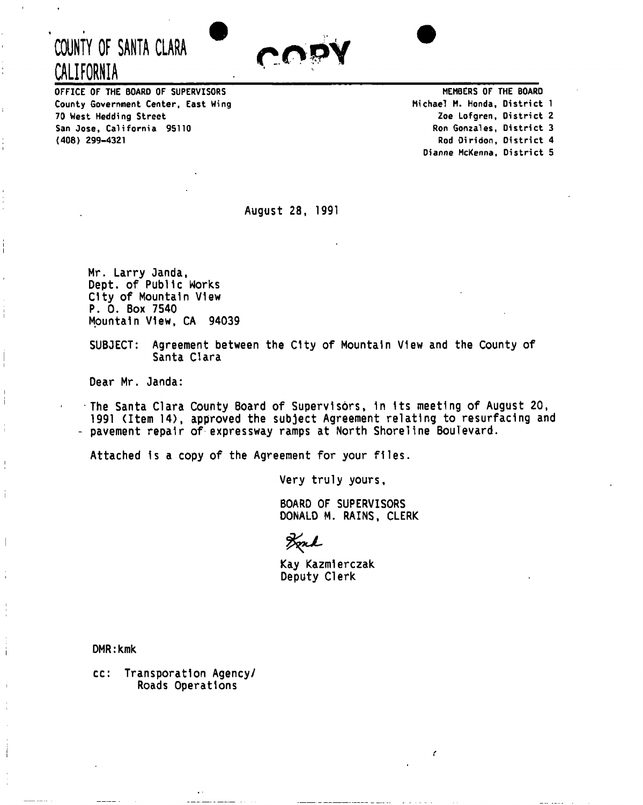

OFFICE OF THE BOARD OF SUPERVISORS County Government Center, East Wing 70 West Hedding Street San Jose, California 95110 (408) 299-4321

**COUNTY OF SANTA CLARA** 

**CALIFORNIA** 

 $\frac{1}{1}$ 

j.

İ

MEMBERS OF THE BOARD Michael M. Honda, District 1 Zoe Lofgren, District 2 Ron Gonzales, District 3 Rod Diridon, District 4 Dianne McKenna, District 5

August 28, 1991

Mr. Larry Janda, Dept. of Public Works City of Mountain View P. 0. Box 7540 Mountain View, CA 94039

SUBJECT: Agreement between the City of Mountain View and the County of Santa Clara

Dear Mr. Janda:

The Santa Clara County Board of Supervisors, 1n Its meeting of August 20, 1991 (Item 14), approved the subject Agreement relating to resurfacing and - pavement repair of expressway ramps at North Shoreline Boulevard.

Attached is a copy of the Agreement for your files.

Very truly yours

BOARD OF SUPERVISORS DONALD M. RAINS, CLERK

Ł

Fred

Kay Kazmlerczak Deputy Clerk

DMR: kmk

cc: Transporatlon Agency/ Roads Operations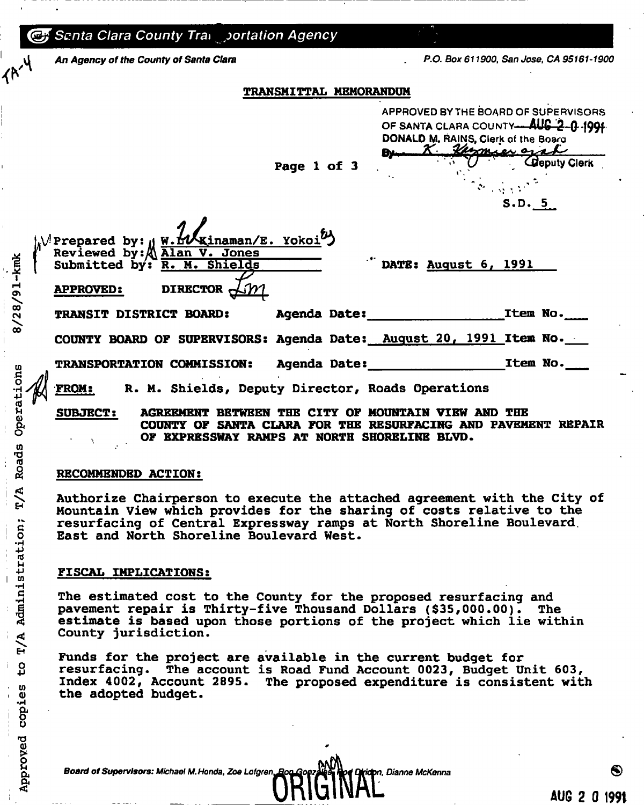| <b>CF</b> Senta Clara County Tran portation Agency |                                                                                                                                              |                                                                                                                                    |
|----------------------------------------------------|----------------------------------------------------------------------------------------------------------------------------------------------|------------------------------------------------------------------------------------------------------------------------------------|
| An Agency of the County of Santa Clara             |                                                                                                                                              | P.O. Box 611900, San Jose, CA 95161-1900                                                                                           |
|                                                    | <b>TRANSMITTAL MEMORANDUM</b>                                                                                                                |                                                                                                                                    |
|                                                    |                                                                                                                                              | APPROVED BY THE BOARD OF SUPERVISORS<br>OF SANTA CLARA COUNTY-AUG 2-0-1991<br>DONALD M. RAINS, Clerk of the Board<br>X Kamier grad |
|                                                    | Page 1 of 3                                                                                                                                  | <b>Coputy Clerk</b><br>S.D. 5                                                                                                      |
| $8/28/91 -$ kmk<br><b>APPROVED:</b>                | N'Prepared by: W. HA Kinaman/E. Yokoi <sup>64</sup> )<br>Reviewed by: Alan V. Jones<br>Submitted by: <u>R. M. Shields</u><br>DIRECTOR $\sim$ | $\dddot{\hspace{0.1cm}}$ DATE: August 6, 1991                                                                                      |
| <b>TRANSIT DISTRICT BOARD:</b>                     |                                                                                                                                              |                                                                                                                                    |
|                                                    |                                                                                                                                              | COUNTY BOARD OF SUPERVISORS: Agenda Date: August 20, 1991 Item No.                                                                 |
|                                                    |                                                                                                                                              | Item No.                                                                                                                           |
| <b>FROM:</b>                                       | R. M. Shields, Deputy Director, Roads Operations                                                                                             |                                                                                                                                    |
| Operations<br><b>SUBJECT:</b>                      | <b>AGREEMENT BETWEEN THE CITY OF</b><br>OF EXPRESSWAY RAMPS AT NORTH SHORELINE BLVD.                                                         | MOUNTAIN VIRW AND THE<br>COUNTY OF SANTA CLARA FOR THE RESURFACING AND PAVEMENT<br><b>REPAIR</b>                                   |

## RECOMMENDED ACTION:

*A* 

 $\lim_{t\to\infty}$ 

rd **•p** 

 $\frac{\text{i} \cdot \text{ii}}{\text{ii}}$ 

ট্ৰ

 $\frac{1}{2}$ U) a) copi

> o<br>Di <u>ត្ត</u> E<br>E ig<br>F

Authorize Chairperson to execute the attached agreement with the City of Mountain View which provides for the sharing of costs relative to the resurfacing of Central Expressway ramps at North Shoreline Boulevard. East and North Shoreline Boulevard West.

## FISCAL IMPLICATIONS:

The estimated cost to the County for the proposed resurfacing and pavement repair is Thirty-five Thousand Dollars (\$35,000.00). The pavement repair is Thirty-five Thousand Dollars  $($ \$35,000.00 $).$ estimate is based upon those portions of the project which lie within County jurisdiction.

Funds for the project are available in the current budget for resurfacing. The account is Road Fund Account 0023, Budget Unit 603, Index 4002, Account 2895. The proposed expenditure is consistent with the adopted budget.

*Board of Supervisors: Michael M.Honda, Zoe Lofgren, Dianne McKenna ®*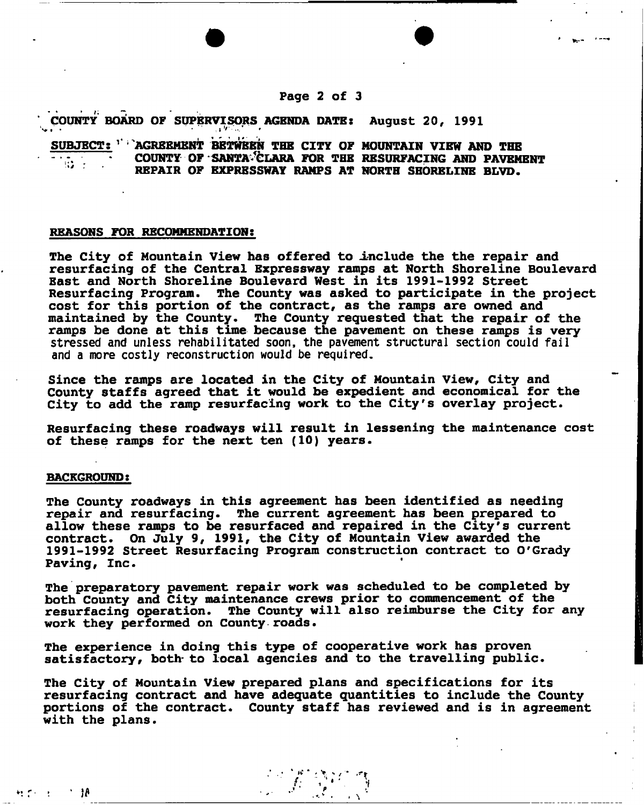## **Page 2 of 3**

COUNTY BOARD OF SUPERVISORS AGENDA DATE: August 20, 1991

## SUBJECT: '' AGREEMENT BETWEEN THE CITY OF MOUNTAIN VIEW AND THE COUNTY OF SANTA<sup>3</sup>CLARA FOR THE RESURFACING AND PAVEMENT REPAIR OF EXPRESSWAY RAMPS AT NORTH SHORELINE BLVD.

## REASONS FOR RECOMMENDATION:

• • ..»'•...\* »

The City of Mountain View has offered to include the the repair and resurfacing of the Central Expressway ramps at North Shoreline Boulevard East and North Shoreline Boulevard West in its 1991-1992 Street Resurfacing Program. The County was asked to participate in the project cost for this portion of the contract, as the ramps are owned and maintained by the County. The County requested that the repair of the ramps be done at this time because the pavement on these ramps is very **stressed and unless rehabilitated soon, the pavement structural section could fail and a more costly reconstruction would be required.** 

Since the ramps are located in the City of Mountain view, City and County staffs agreed that it would be expedient and economical for the City to add the ramp resurfacing work to the City's overlay project.

Resurfacing these roadways will result in lessening the maintenance cost of these ramps for the next ten (10) years.

#### BACKGROUND:

- 18

社会の社

The County roadways in this agreement has been identified as needing repair and resurfacing. The current agreement has been prepared to allow these ramps to be resurfaced and repaired in the City's current contract. On July 9, 1991, the City of Mountain View awarded the 1991-1992 Street Resurfacing Program construction contract to O'Grady Paving, Inc.

The preparatory pavement repair work was scheduled to be completed by both County and City maintenance crews prior to commencement of the resurfacing operation. The County will also reimburse the City for any work they performed on County roads.

The experience in doing this type of cooperative work has proven satisfactory, both- to local agencies and to the travelling public.

The City of Mountain View prepared plans and specifications for its resurfacing contract and have adequate quantities to include the County portions of the contract. County staff has reviewed and is in agreement with the plans.